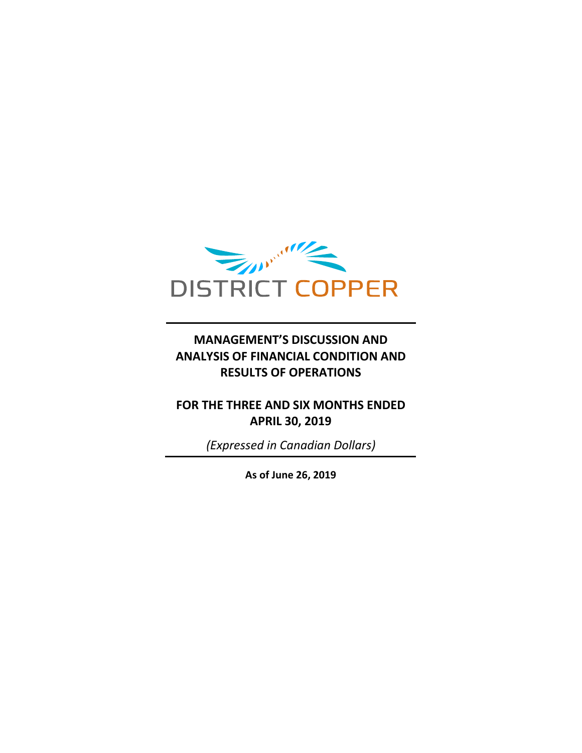

# **MANAGEMENT'S DISCUSSION AND ANALYSIS OF FINANCIAL CONDITION AND RESULTS OF OPERATIONS**

## **FOR THE THREE AND SIX MONTHS ENDED APRIL 30, 2019**

*(Expressed in Canadian Dollars)*

**As of June 26, 2019**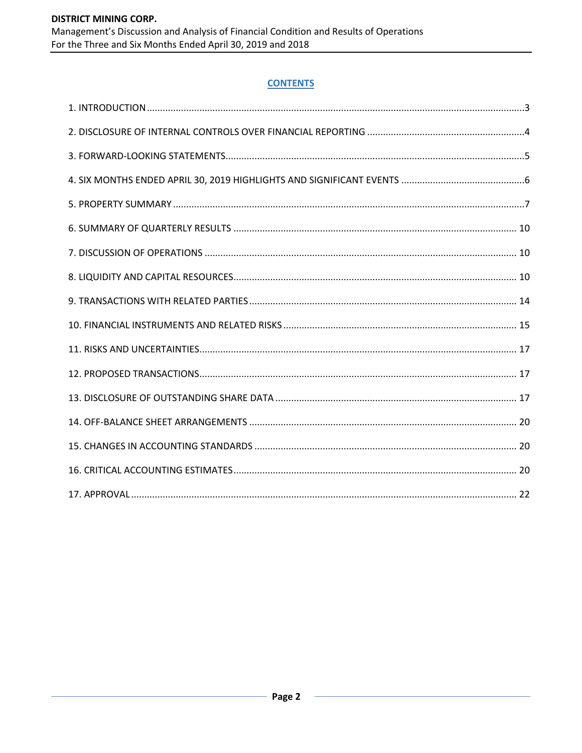## **CONTENTS**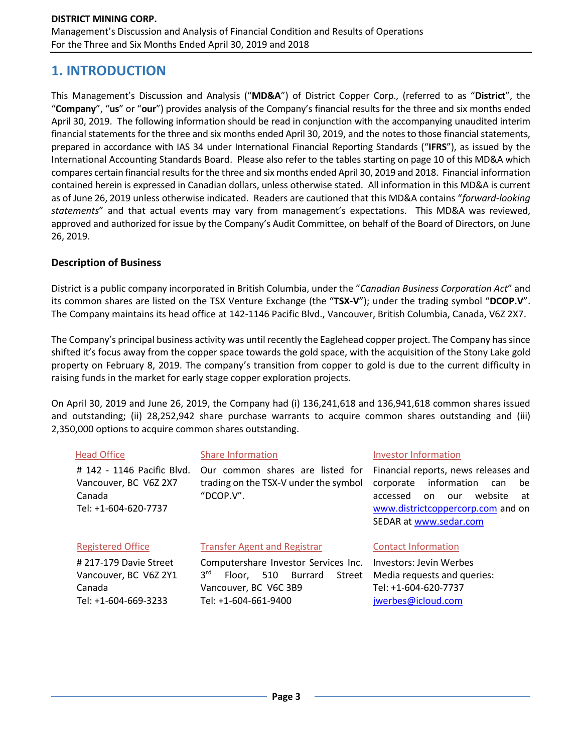# **1. INTRODUCTION**

This Management's Discussion and Analysis ("**MD&A**") of District Copper Corp., (referred to as "**District**", the "**Company**", "**us**" or "**our**") provides analysis of the Company's financial results for the three and six months ended April 30, 2019. The following information should be read in conjunction with the accompanying unaudited interim financial statements for the three and six months ended April 30, 2019, and the notes to those financial statements, prepared in accordance with IAS 34 under International Financial Reporting Standards ("**IFRS**"), as issued by the International Accounting Standards Board. Please also refer to the tables starting on page 10 of this MD&A which compares certain financial results for the three and six months ended April 30, 2019 and 2018. Financial information contained herein is expressed in Canadian dollars, unless otherwise stated. All information in this MD&A is current as of June 26, 2019 unless otherwise indicated. Readers are cautioned that this MD&A contains "*forward-looking statements*" and that actual events may vary from management's expectations. This MD&A was reviewed, approved and authorized for issue by the Company's Audit Committee, on behalf of the Board of Directors, on June 26, 2019.

### **Description of Business**

District is a public company incorporated in British Columbia, under the "*Canadian Business Corporation Act*" and its common shares are listed on the TSX Venture Exchange (the "**TSX-V**"); under the trading symbol "**DCOP.V**". The Company maintains its head office at 142-1146 Pacific Blvd., Vancouver, British Columbia, Canada, V6Z 2X7.

The Company's principal business activity was until recently the Eaglehead copper project. The Company has since shifted it's focus away from the copper space towards the gold space, with the acquisition of the Stony Lake gold property on February 8, 2019. The company's transition from copper to gold is due to the current difficulty in raising funds in the market for early stage copper exploration projects.

On April 30, 2019 and June 26, 2019, the Company had (i) 136,241,618 and 136,941,618 common shares issued and outstanding; (ii) 28,252,942 share purchase warrants to acquire common shares outstanding and (iii) 2,350,000 options to acquire common shares outstanding.

| <b>Head Office</b>                                                                    | <b>Share Information</b><br><b>Investor Information</b>                                                                                     |                                                                                                                                                                                        |  |  |  |  |  |
|---------------------------------------------------------------------------------------|---------------------------------------------------------------------------------------------------------------------------------------------|----------------------------------------------------------------------------------------------------------------------------------------------------------------------------------------|--|--|--|--|--|
| # 142 - 1146 Pacific Blvd.<br>Vancouver, BC V6Z 2X7<br>Canada<br>Tel: +1-604-620-7737 | Our common shares are listed for<br>trading on the TSX-V under the symbol<br>"DCOP.V".                                                      | Financial reports, news releases and<br>information<br>corporate<br>be<br>can<br>website<br>accessed<br>on<br>our<br>at<br>www.districtcoppercorp.com and on<br>SEDAR at www.sedar.com |  |  |  |  |  |
| <b>Registered Office</b>                                                              | <b>Transfer Agent and Registrar</b>                                                                                                         | <b>Contact Information</b>                                                                                                                                                             |  |  |  |  |  |
| #217-179 Davie Street<br>Vancouver, BC V6Z 2Y1<br>Canada<br>Tel: +1-604-669-3233      | Computershare Investor Services Inc.<br>3 <sup>rd</sup><br>510 Burrard<br>Street<br>Floor.<br>Vancouver, BC V6C 3B9<br>Tel: +1-604-661-9400 | Investors: Jevin Werbes<br>Media requests and queries:<br>Tel: +1-604-620-7737<br>jwerbes@icloud.com                                                                                   |  |  |  |  |  |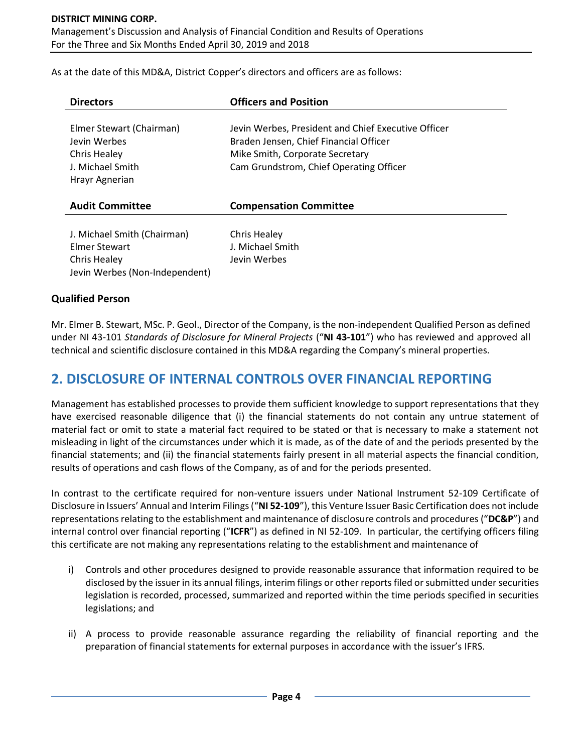As at the date of this MD&A, District Copper's directors and officers are as follows:

| <b>Directors</b>                                                                                      | <b>Officers and Position</b>                                                                                                                                                |
|-------------------------------------------------------------------------------------------------------|-----------------------------------------------------------------------------------------------------------------------------------------------------------------------------|
| Elmer Stewart (Chairman)<br>Jevin Werbes<br><b>Chris Healey</b><br>J. Michael Smith<br>Hrayr Agnerian | Jevin Werbes, President and Chief Executive Officer<br>Braden Jensen, Chief Financial Officer<br>Mike Smith, Corporate Secretary<br>Cam Grundstrom, Chief Operating Officer |
| <b>Audit Committee</b>                                                                                | <b>Compensation Committee</b>                                                                                                                                               |
| J. Michael Smith (Chairman)<br>Elmer Stewart<br><b>Chris Healey</b><br>Jevin Werbes (Non-Independent) | Chris Healey<br>J. Michael Smith<br>Jevin Werbes                                                                                                                            |

### **Qualified Person**

Mr. Elmer B. Stewart, MSc. P. Geol., Director of the Company, is the non-independent Qualified Person as defined under NI 43-101 *Standards of Disclosure for Mineral Projects* ("**NI 43-101**") who has reviewed and approved all technical and scientific disclosure contained in this MD&A regarding the Company's mineral properties.

# **2. DISCLOSURE OF INTERNAL CONTROLS OVER FINANCIAL REPORTING**

Management has established processes to provide them sufficient knowledge to support representations that they have exercised reasonable diligence that (i) the financial statements do not contain any untrue statement of material fact or omit to state a material fact required to be stated or that is necessary to make a statement not misleading in light of the circumstances under which it is made, as of the date of and the periods presented by the financial statements; and (ii) the financial statements fairly present in all material aspects the financial condition, results of operations and cash flows of the Company, as of and for the periods presented.

In contrast to the certificate required for non-venture issuers under National Instrument 52-109 Certificate of Disclosure in Issuers' Annual and Interim Filings ("**NI 52-109**"), this Venture Issuer Basic Certification does not include representations relating to the establishment and maintenance of disclosure controls and procedures ("**DC&P**") and internal control over financial reporting ("**ICFR**") as defined in NI 52-109. In particular, the certifying officers filing this certificate are not making any representations relating to the establishment and maintenance of

- i) Controls and other procedures designed to provide reasonable assurance that information required to be disclosed by the issuer in its annual filings, interim filings or other reports filed or submitted under securities legislation is recorded, processed, summarized and reported within the time periods specified in securities legislations; and
- ii) A process to provide reasonable assurance regarding the reliability of financial reporting and the preparation of financial statements for external purposes in accordance with the issuer's IFRS.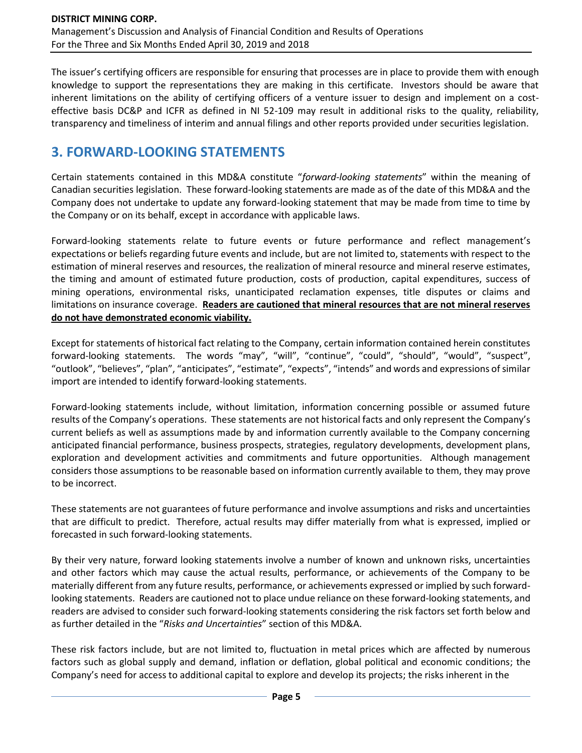The issuer's certifying officers are responsible for ensuring that processes are in place to provide them with enough knowledge to support the representations they are making in this certificate. Investors should be aware that inherent limitations on the ability of certifying officers of a venture issuer to design and implement on a costeffective basis DC&P and ICFR as defined in NI 52-109 may result in additional risks to the quality, reliability, transparency and timeliness of interim and annual filings and other reports provided under securities legislation.

# **3. FORWARD-LOOKING STATEMENTS**

Certain statements contained in this MD&A constitute "*forward-looking statements*" within the meaning of Canadian securities legislation. These forward-looking statements are made as of the date of this MD&A and the Company does not undertake to update any forward-looking statement that may be made from time to time by the Company or on its behalf, except in accordance with applicable laws.

Forward-looking statements relate to future events or future performance and reflect management's expectations or beliefs regarding future events and include, but are not limited to, statements with respect to the estimation of mineral reserves and resources, the realization of mineral resource and mineral reserve estimates, the timing and amount of estimated future production, costs of production, capital expenditures, success of mining operations, environmental risks, unanticipated reclamation expenses, title disputes or claims and limitations on insurance coverage. **Readers are cautioned that mineral resources that are not mineral reserves do not have demonstrated economic viability.**

Except for statements of historical fact relating to the Company, certain information contained herein constitutes forward-looking statements. The words "may", "will", "continue", "could", "should", "would", "suspect", "outlook", "believes", "plan", "anticipates", "estimate", "expects", "intends" and words and expressions of similar import are intended to identify forward-looking statements.

Forward-looking statements include, without limitation, information concerning possible or assumed future results of the Company's operations. These statements are not historical facts and only represent the Company's current beliefs as well as assumptions made by and information currently available to the Company concerning anticipated financial performance, business prospects, strategies, regulatory developments, development plans, exploration and development activities and commitments and future opportunities. Although management considers those assumptions to be reasonable based on information currently available to them, they may prove to be incorrect.

These statements are not guarantees of future performance and involve assumptions and risks and uncertainties that are difficult to predict. Therefore, actual results may differ materially from what is expressed, implied or forecasted in such forward-looking statements.

By their very nature, forward looking statements involve a number of known and unknown risks, uncertainties and other factors which may cause the actual results, performance, or achievements of the Company to be materially different from any future results, performance, or achievements expressed or implied by such forwardlooking statements. Readers are cautioned not to place undue reliance on these forward-looking statements, and readers are advised to consider such forward-looking statements considering the risk factors set forth below and as further detailed in the "*Risks and Uncertainties*" section of this MD&A.

These risk factors include, but are not limited to, fluctuation in metal prices which are affected by numerous factors such as global supply and demand, inflation or deflation, global political and economic conditions; the Company's need for access to additional capital to explore and develop its projects; the risks inherent in the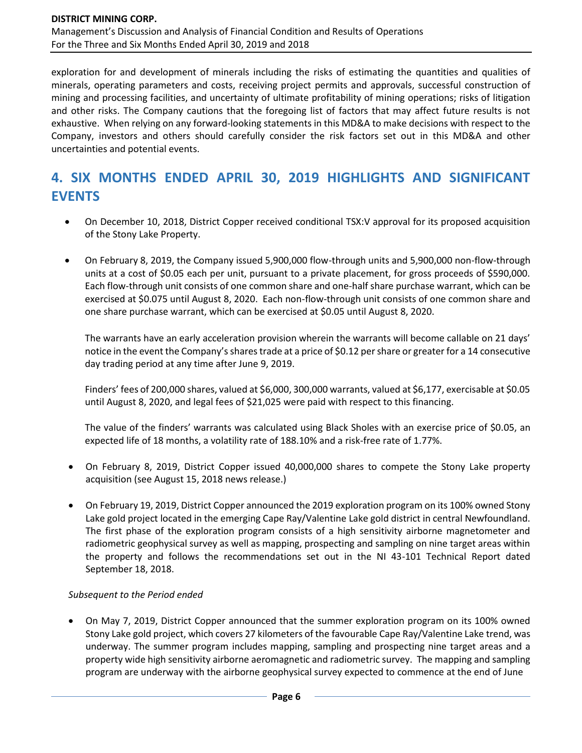exploration for and development of minerals including the risks of estimating the quantities and qualities of minerals, operating parameters and costs, receiving project permits and approvals, successful construction of mining and processing facilities, and uncertainty of ultimate profitability of mining operations; risks of litigation and other risks. The Company cautions that the foregoing list of factors that may affect future results is not exhaustive. When relying on any forward-looking statements in this MD&A to make decisions with respect to the Company, investors and others should carefully consider the risk factors set out in this MD&A and other uncertainties and potential events.

# **4. SIX MONTHS ENDED APRIL 30, 2019 HIGHLIGHTS AND SIGNIFICANT EVENTS**

- On December 10, 2018, District Copper received conditional TSX:V approval for its proposed acquisition of the Stony Lake Property.
- On February 8, 2019, the Company issued 5,900,000 flow-through units and 5,900,000 non-flow-through units at a cost of \$0.05 each per unit, pursuant to a private placement, for gross proceeds of \$590,000. Each flow-through unit consists of one common share and one-half share purchase warrant, which can be exercised at \$0.075 until August 8, 2020. Each non-flow-through unit consists of one common share and one share purchase warrant, which can be exercised at \$0.05 until August 8, 2020.

The warrants have an early acceleration provision wherein the warrants will become callable on 21 days' notice in the event the Company's shares trade at a price of \$0.12 per share or greater for a 14 consecutive day trading period at any time after June 9, 2019.

Finders' fees of 200,000 shares, valued at \$6,000, 300,000 warrants, valued at \$6,177, exercisable at \$0.05 until August 8, 2020, and legal fees of \$21,025 were paid with respect to this financing.

The value of the finders' warrants was calculated using Black Sholes with an exercise price of \$0.05, an expected life of 18 months, a volatility rate of 188.10% and a risk-free rate of 1.77%.

- On February 8, 2019, District Copper issued 40,000,000 shares to compete the Stony Lake property acquisition (see August 15, 2018 news release.)
- On February 19, 2019, District Copper announced the 2019 exploration program on its 100% owned Stony Lake gold project located in the emerging Cape Ray/Valentine Lake gold district in central Newfoundland. The first phase of the exploration program consists of a high sensitivity airborne magnetometer and radiometric geophysical survey as well as mapping, prospecting and sampling on nine target areas within the property and follows the recommendations set out in the NI 43-101 Technical Report dated September 18, 2018.

### *Subsequent to the Period ended*

• On May 7, 2019, District Copper announced that the summer exploration program on its 100% owned Stony Lake gold project, which covers 27 kilometers of the favourable Cape Ray/Valentine Lake trend, was underway. The summer program includes mapping, sampling and prospecting nine target areas and a property wide high sensitivity airborne aeromagnetic and radiometric survey. The mapping and sampling program are underway with the airborne geophysical survey expected to commence at the end of June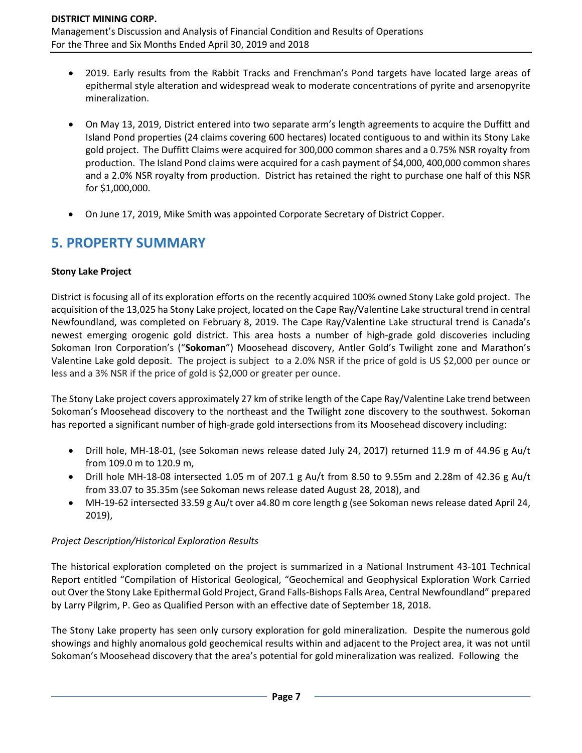For the Three and Six Months Ended April 30, 2019 and 2018

- 2019. Early results from the Rabbit Tracks and Frenchman's Pond targets have located large areas of epithermal style alteration and widespread weak to moderate concentrations of pyrite and arsenopyrite mineralization.
- On May 13, 2019, District entered into two separate arm's length agreements to acquire the Duffitt and Island Pond properties (24 claims covering 600 hectares) located contiguous to and within its Stony Lake gold project. The Duffitt Claims were acquired for 300,000 common shares and a 0.75% NSR royalty from production. The Island Pond claims were acquired for a cash payment of \$4,000, 400,000 common shares and a 2.0% NSR royalty from production. District has retained the right to purchase one half of this NSR for \$1,000,000.
- On June 17, 2019, Mike Smith was appointed Corporate Secretary of District Copper.

# **5. PROPERTY SUMMARY**

### **Stony Lake Project**

District is focusing all of its exploration efforts on the recently acquired 100% owned Stony Lake gold project. The acquisition of the 13,025 ha Stony Lake project, located on the Cape Ray/Valentine Lake structural trend in central Newfoundland, was completed on February 8, 2019. The Cape Ray/Valentine Lake structural trend is Canada's newest emerging orogenic gold district. This area hosts a number of high-grade gold discoveries including Sokoman Iron Corporation's ("**Sokoman**") Moosehead discovery, Antler Gold's Twilight zone and Marathon's Valentine Lake gold deposit. The project is subject to a 2.0% NSR if the price of gold is US \$2,000 per ounce or less and a 3% NSR if the price of gold is \$2,000 or greater per ounce.

The Stony Lake project covers approximately 27 km of strike length of the Cape Ray/Valentine Lake trend between Sokoman's Moosehead discovery to the northeast and the Twilight zone discovery to the southwest. Sokoman has reported a significant number of high-grade gold intersections from its Moosehead discovery including:

- Drill hole, MH-18-01, (see Sokoman news release dated July 24, 2017) returned 11.9 m of 44.96 g Au/t from 109.0 m to 120.9 m,
- Drill hole MH-18-08 intersected 1.05 m of 207.1 g Au/t from 8.50 to 9.55m and 2.28m of 42.36 g Au/t from 33.07 to 35.35m (see Sokoman news release dated August 28, 2018), and
- MH-19-62 intersected 33.59 g Au/t over a4.80 m core length g (see Sokoman news release dated April 24, 2019),

## *Project Description/Historical Exploration Results*

The historical exploration completed on the project is summarized in a National Instrument 43-101 Technical Report entitled "Compilation of Historical Geological, "Geochemical and Geophysical Exploration Work Carried out Over the Stony Lake Epithermal Gold Project, Grand Falls-Bishops Falls Area, Central Newfoundland" prepared by Larry Pilgrim, P. Geo as Qualified Person with an effective date of September 18, 2018.

The Stony Lake property has seen only cursory exploration for gold mineralization. Despite the numerous gold showings and highly anomalous gold geochemical results within and adjacent to the Project area, it was not until Sokoman's Moosehead discovery that the area's potential for gold mineralization was realized. Following the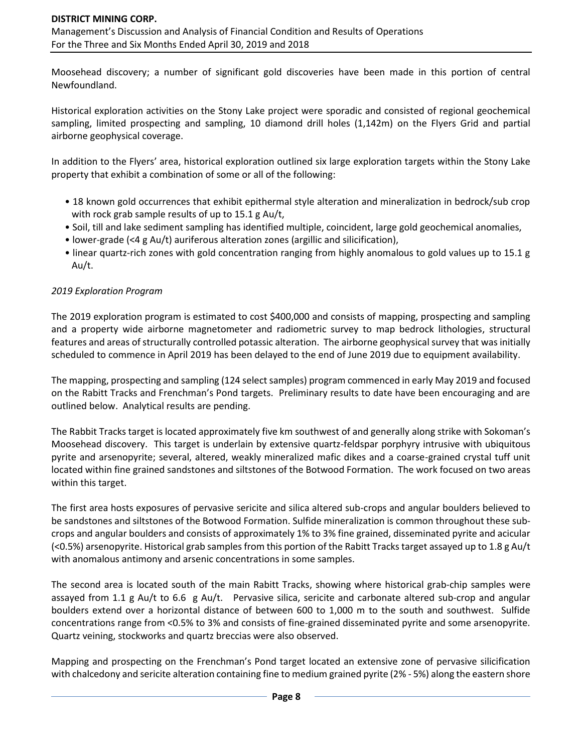Moosehead discovery; a number of significant gold discoveries have been made in this portion of central Newfoundland.

Historical exploration activities on the Stony Lake project were sporadic and consisted of regional geochemical sampling, limited prospecting and sampling, 10 diamond drill holes (1,142m) on the Flyers Grid and partial airborne geophysical coverage.

In addition to the Flyers' area, historical exploration outlined six large exploration targets within the Stony Lake property that exhibit a combination of some or all of the following:

- 18 known gold occurrences that exhibit epithermal style alteration and mineralization in bedrock/sub crop with rock grab sample results of up to 15.1 g Au/t,
- Soil, till and lake sediment sampling has identified multiple, coincident, large gold geochemical anomalies,
- lower-grade (<4 g Au/t) auriferous alteration zones (argillic and silicification),
- linear quartz-rich zones with gold concentration ranging from highly anomalous to gold values up to 15.1 g Au/t.

### *2019 Exploration Program*

The 2019 exploration program is estimated to cost \$400,000 and consists of mapping, prospecting and sampling and a property wide airborne magnetometer and radiometric survey to map bedrock lithologies, structural features and areas of structurally controlled potassic alteration. The airborne geophysical survey that was initially scheduled to commence in April 2019 has been delayed to the end of June 2019 due to equipment availability.

The mapping, prospecting and sampling (124 select samples) program commenced in early May 2019 and focused on the Rabitt Tracks and Frenchman's Pond targets. Preliminary results to date have been encouraging and are outlined below. Analytical results are pending.

The Rabbit Tracks target is located approximately five km southwest of and generally along strike with Sokoman's Moosehead discovery. This target is underlain by extensive quartz-feldspar porphyry intrusive with ubiquitous pyrite and arsenopyrite; several, altered, weakly mineralized mafic dikes and a coarse-grained crystal tuff unit located within fine grained sandstones and siltstones of the Botwood Formation. The work focused on two areas within this target.

The first area hosts exposures of pervasive sericite and silica altered sub-crops and angular boulders believed to be sandstones and siltstones of the Botwood Formation. Sulfide mineralization is common throughout these subcrops and angular boulders and consists of approximately 1% to 3% fine grained, disseminated pyrite and acicular (<0.5%) arsenopyrite. Historical grab samples from this portion of the Rabitt Tracks target assayed up to 1.8 g Au/t with anomalous antimony and arsenic concentrations in some samples.

The second area is located south of the main Rabitt Tracks, showing where historical grab-chip samples were assayed from 1.1 g Au/t to 6.6 g Au/t. Pervasive silica, sericite and carbonate altered sub-crop and angular boulders extend over a horizontal distance of between 600 to 1,000 m to the south and southwest. Sulfide concentrations range from <0.5% to 3% and consists of fine-grained disseminated pyrite and some arsenopyrite. Quartz veining, stockworks and quartz breccias were also observed.

Mapping and prospecting on the Frenchman's Pond target located an extensive zone of pervasive silicification with chalcedony and sericite alteration containing fine to medium grained pyrite (2% - 5%) along the eastern shore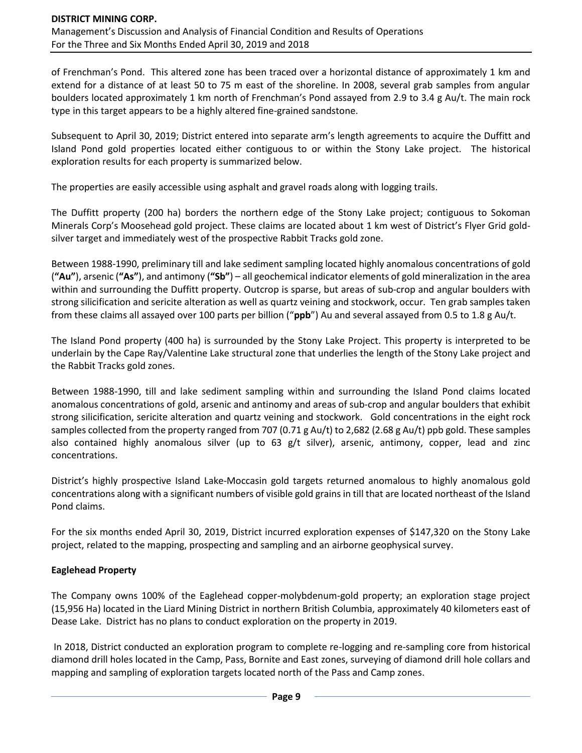of Frenchman's Pond. This altered zone has been traced over a horizontal distance of approximately 1 km and extend for a distance of at least 50 to 75 m east of the shoreline. In 2008, several grab samples from angular boulders located approximately 1 km north of Frenchman's Pond assayed from 2.9 to 3.4 g Au/t. The main rock type in this target appears to be a highly altered fine-grained sandstone.

Subsequent to April 30, 2019; District entered into separate arm's length agreements to acquire the Duffitt and Island Pond gold properties located either contiguous to or within the Stony Lake project. The historical exploration results for each property is summarized below.

The properties are easily accessible using asphalt and gravel roads along with logging trails.

The Duffitt property (200 ha) borders the northern edge of the Stony Lake project; contiguous to Sokoman Minerals Corp's Moosehead gold project. These claims are located about 1 km west of District's Flyer Grid goldsilver target and immediately west of the prospective Rabbit Tracks gold zone.

Between 1988-1990, preliminary till and lake sediment sampling located highly anomalous concentrations of gold (**"Au"**), arsenic (**"As"**), and antimony (**"Sb"**) – all geochemical indicator elements of gold mineralization in the area within and surrounding the Duffitt property. Outcrop is sparse, but areas of sub-crop and angular boulders with strong silicification and sericite alteration as well as quartz veining and stockwork, occur. Ten grab samples taken from these claims all assayed over 100 parts per billion ("**ppb**") Au and several assayed from 0.5 to 1.8 g Au/t.

The Island Pond property (400 ha) is surrounded by the Stony Lake Project. This property is interpreted to be underlain by the Cape Ray/Valentine Lake structural zone that underlies the length of the Stony Lake project and the Rabbit Tracks gold zones.

Between 1988-1990, till and lake sediment sampling within and surrounding the Island Pond claims located anomalous concentrations of gold, arsenic and antinomy and areas of sub-crop and angular boulders that exhibit strong silicification, sericite alteration and quartz veining and stockwork. Gold concentrations in the eight rock samples collected from the property ranged from 707 (0.71 g Au/t) to 2,682 (2.68 g Au/t) ppb gold. These samples also contained highly anomalous silver (up to 63 g/t silver), arsenic, antimony, copper, lead and zinc concentrations.

District's highly prospective Island Lake-Moccasin gold targets returned anomalous to highly anomalous gold concentrations along with a significant numbers of visible gold grains in till that are located northeast of the Island Pond claims.

For the six months ended April 30, 2019, District incurred exploration expenses of \$147,320 on the Stony Lake project, related to the mapping, prospecting and sampling and an airborne geophysical survey.

## **Eaglehead Property**

The Company owns 100% of the Eaglehead copper-molybdenum-gold property; an exploration stage project (15,956 Ha) located in the Liard Mining District in northern British Columbia, approximately 40 kilometers east of Dease Lake. District has no plans to conduct exploration on the property in 2019.

In 2018, District conducted an exploration program to complete re-logging and re-sampling core from historical diamond drill holes located in the Camp, Pass, Bornite and East zones, surveying of diamond drill hole collars and mapping and sampling of exploration targets located north of the Pass and Camp zones.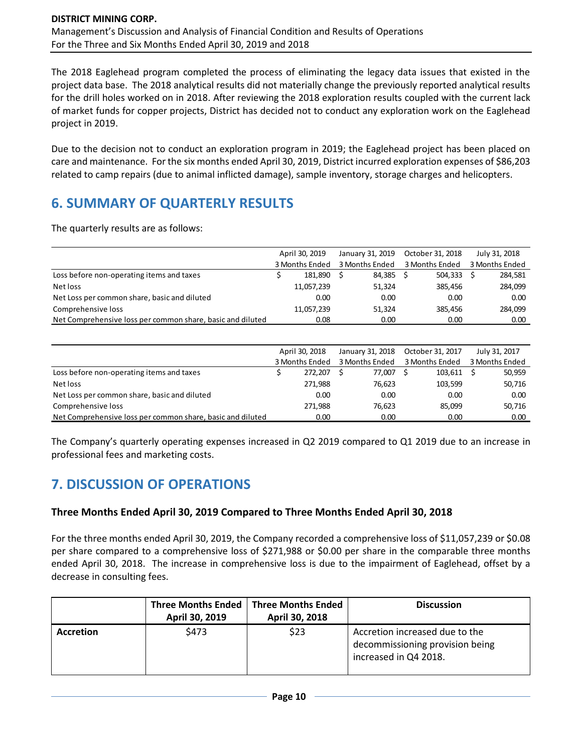The 2018 Eaglehead program completed the process of eliminating the legacy data issues that existed in the project data base. The 2018 analytical results did not materially change the previously reported analytical results for the drill holes worked on in 2018. After reviewing the 2018 exploration results coupled with the current lack of market funds for copper projects, District has decided not to conduct any exploration work on the Eaglehead project in 2019.

Due to the decision not to conduct an exploration program in 2019; the Eaglehead project has been placed on care and maintenance. Forthe six months ended April 30, 2019, District incurred exploration expenses of \$86,203 related to camp repairs (due to animal inflicted damage), sample inventory, storage charges and helicopters.

# **6. SUMMARY OF QUARTERLY RESULTS**

The quarterly results are as follows:

|                                                            | April 30, 2019 |            | January 31, 2019 |        | October 31, 2018 |         |                | July 31, 2018 |
|------------------------------------------------------------|----------------|------------|------------------|--------|------------------|---------|----------------|---------------|
|                                                            | 3 Months Ended |            | 3 Months Ended   |        | 3 Months Ended   |         | 3 Months Ended |               |
| Loss before non-operating items and taxes                  |                | 181.890    |                  | 84.385 |                  | 504.333 |                | 284,581       |
| Net loss                                                   |                | 11,057,239 |                  | 51,324 |                  | 385.456 |                | 284,099       |
| Net Loss per common share, basic and diluted               |                | 0.00       |                  | 0.00   |                  | 0.00    |                | 0.00          |
| Comprehensive loss                                         |                | 11,057,239 |                  | 51,324 |                  | 385.456 |                | 284,099       |
| Net Comprehensive loss per common share, basic and diluted |                | 0.08       |                  | 0.00   |                  | 0.00    |                | 0.00          |

|                                                            | April 30, 2018 |                | January 31, 2018 |        | October 31, 2017 |         | July 31, 2017  |
|------------------------------------------------------------|----------------|----------------|------------------|--------|------------------|---------|----------------|
|                                                            |                | 3 Months Ended | 3 Months Ended   |        | 3 Months Ended   |         | 3 Months Ended |
| Loss before non-operating items and taxes                  |                | 272.207        |                  | 77.007 |                  | 103.611 | 50,959         |
| Net loss                                                   |                | 271,988        |                  | 76,623 |                  | 103,599 | 50,716         |
| Net Loss per common share, basic and diluted               |                | 0.00           |                  | 0.00   |                  | 0.00    | 0.00           |
| Comprehensive loss                                         |                | 271.988        |                  | 76,623 |                  | 85,099  | 50,716         |
| Net Comprehensive loss per common share, basic and diluted |                | 0.00           |                  | 0.00   |                  | 0.00    | 0.00           |

The Company's quarterly operating expenses increased in Q2 2019 compared to Q1 2019 due to an increase in professional fees and marketing costs.

# **7. DISCUSSION OF OPERATIONS**

## **Three Months Ended April 30, 2019 Compared to Three Months Ended April 30, 2018**

For the three months ended April 30, 2019, the Company recorded a comprehensive loss of \$11,057,239 or \$0.08 per share compared to a comprehensive loss of \$271,988 or \$0.00 per share in the comparable three months ended April 30, 2018. The increase in comprehensive loss is due to the impairment of Eaglehead, offset by a decrease in consulting fees.

|                  | <b>Three Months Ended</b><br>April 30, 2019 | <b>Three Months Ended</b><br>April 30, 2018 | <b>Discussion</b>                                                                          |
|------------------|---------------------------------------------|---------------------------------------------|--------------------------------------------------------------------------------------------|
| <b>Accretion</b> | \$473                                       | \$23                                        | Accretion increased due to the<br>decommissioning provision being<br>increased in Q4 2018. |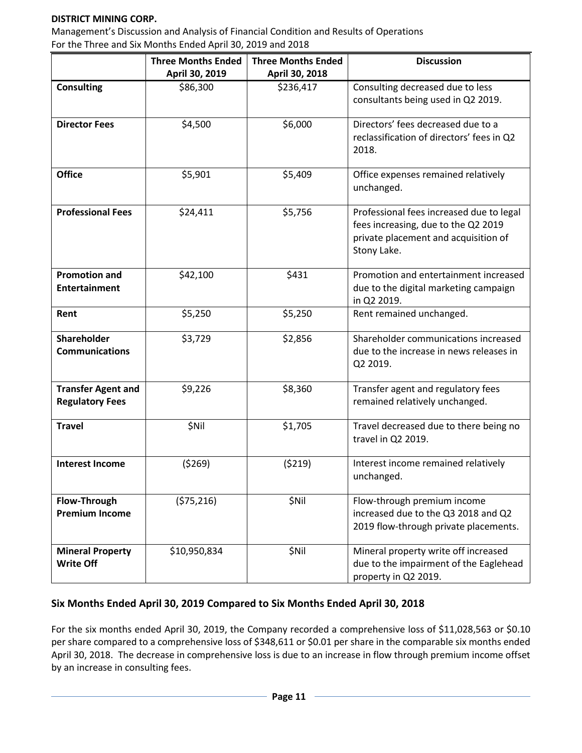### **DISTRICT MINING CORP.**

Management's Discussion and Analysis of Financial Condition and Results of Operations For the Three and Six Months Ended April 30, 2019 and 2018

|                                                     | <b>Three Months Ended</b> | <b>Three Months Ended</b> | <b>Discussion</b>                                                                                                                      |
|-----------------------------------------------------|---------------------------|---------------------------|----------------------------------------------------------------------------------------------------------------------------------------|
|                                                     | April 30, 2019            | April 30, 2018            |                                                                                                                                        |
| <b>Consulting</b>                                   | \$86,300                  | \$236,417                 | Consulting decreased due to less<br>consultants being used in Q2 2019.                                                                 |
| <b>Director Fees</b>                                | \$4,500                   | \$6,000                   | Directors' fees decreased due to a<br>reclassification of directors' fees in Q2<br>2018.                                               |
| <b>Office</b>                                       | \$5,901                   | \$5,409                   | Office expenses remained relatively<br>unchanged.                                                                                      |
| <b>Professional Fees</b>                            | \$24,411                  | \$5,756                   | Professional fees increased due to legal<br>fees increasing, due to the Q2 2019<br>private placement and acquisition of<br>Stony Lake. |
| <b>Promotion and</b><br><b>Entertainment</b>        | \$42,100                  | \$431                     | Promotion and entertainment increased<br>due to the digital marketing campaign<br>in Q2 2019.                                          |
| Rent                                                | \$5,250                   | \$5,250                   | Rent remained unchanged.                                                                                                               |
| Shareholder<br><b>Communications</b>                | \$3,729                   | \$2,856                   | Shareholder communications increased<br>due to the increase in news releases in<br>Q2 2019.                                            |
| <b>Transfer Agent and</b><br><b>Regulatory Fees</b> | \$9,226                   | \$8,360                   | Transfer agent and regulatory fees<br>remained relatively unchanged.                                                                   |
| <b>Travel</b>                                       | \$Nil                     | \$1,705                   | Travel decreased due to there being no<br>travel in Q2 2019.                                                                           |
| <b>Interest Income</b>                              | (5269)                    | (5219)                    | Interest income remained relatively<br>unchanged.                                                                                      |
| Flow-Through<br><b>Premium Income</b>               | (575, 216)                | \$Nil                     | Flow-through premium income<br>increased due to the Q3 2018 and Q2<br>2019 flow-through private placements.                            |
| <b>Mineral Property</b><br><b>Write Off</b>         | \$10,950,834              | \$Nil                     | Mineral property write off increased<br>due to the impairment of the Eaglehead<br>property in Q2 2019.                                 |

## **Six Months Ended April 30, 2019 Compared to Six Months Ended April 30, 2018**

For the six months ended April 30, 2019, the Company recorded a comprehensive loss of \$11,028,563 or \$0.10 per share compared to a comprehensive loss of \$348,611 or \$0.01 per share in the comparable six months ended April 30, 2018. The decrease in comprehensive loss is due to an increase in flow through premium income offset by an increase in consulting fees.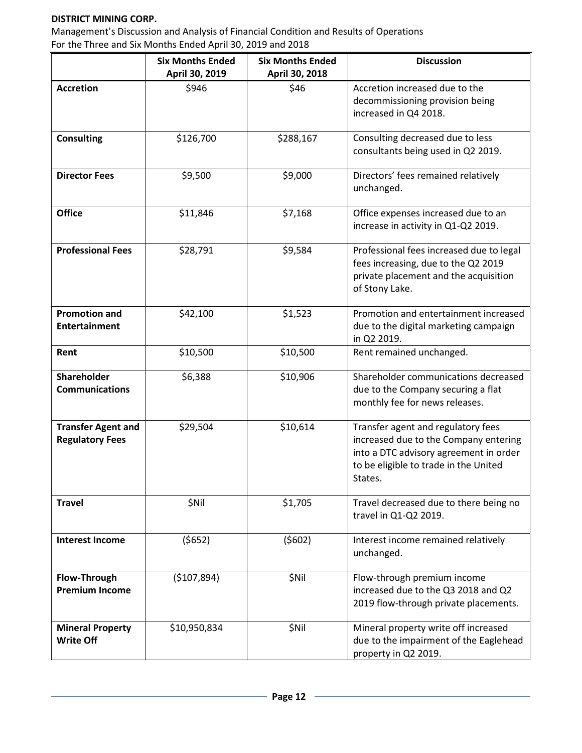### **DISTRICT MINING CORP.**

Management's Discussion and Analysis of Financial Condition and Results of Operations For the Three and Six Months Ended April 30, 2019 and 2018

|                                                     | <b>Six Months Ended</b><br>April 30, 2019 | <b>Six Months Ended</b><br>April 30, 2018 | <b>Discussion</b>                                                                                                                                                         |
|-----------------------------------------------------|-------------------------------------------|-------------------------------------------|---------------------------------------------------------------------------------------------------------------------------------------------------------------------------|
| <b>Accretion</b>                                    | \$946                                     | \$46                                      | Accretion increased due to the<br>decommissioning provision being<br>increased in Q4 2018.                                                                                |
| <b>Consulting</b>                                   | \$126,700                                 | \$288,167                                 | Consulting decreased due to less<br>consultants being used in Q2 2019.                                                                                                    |
| <b>Director Fees</b>                                | \$9,500                                   | \$9,000                                   | Directors' fees remained relatively<br>unchanged.                                                                                                                         |
| <b>Office</b>                                       | \$11,846                                  | \$7,168                                   | Office expenses increased due to an<br>increase in activity in Q1-Q2 2019.                                                                                                |
| <b>Professional Fees</b>                            | \$28,791                                  | \$9,584                                   | Professional fees increased due to legal<br>fees increasing, due to the Q2 2019<br>private placement and the acquisition<br>of Stony Lake.                                |
| <b>Promotion and</b><br><b>Entertainment</b>        | \$42,100                                  | \$1,523                                   | Promotion and entertainment increased<br>due to the digital marketing campaign<br>in Q2 2019.                                                                             |
| Rent                                                | \$10,500                                  | \$10,500                                  | Rent remained unchanged.                                                                                                                                                  |
| Shareholder<br><b>Communications</b>                | \$6,388                                   | \$10,906                                  | Shareholder communications decreased<br>due to the Company securing a flat<br>monthly fee for news releases.                                                              |
| <b>Transfer Agent and</b><br><b>Regulatory Fees</b> | \$29,504                                  | \$10,614                                  | Transfer agent and regulatory fees<br>increased due to the Company entering<br>into a DTC advisory agreement in order<br>to be eligible to trade in the United<br>States. |
| <b>Travel</b>                                       | \$Nil                                     | \$1,705                                   | Travel decreased due to there being no<br>travel in Q1-Q2 2019.                                                                                                           |
| <b>Interest Income</b>                              | (5652)                                    | (5602)                                    | Interest income remained relatively<br>unchanged.                                                                                                                         |
| Flow-Through<br><b>Premium Income</b>               | (\$107,894)                               | \$Nil                                     | Flow-through premium income<br>increased due to the Q3 2018 and Q2<br>2019 flow-through private placements.                                                               |
| <b>Mineral Property</b><br><b>Write Off</b>         | \$10,950,834                              | \$Nil                                     | Mineral property write off increased<br>due to the impairment of the Eaglehead<br>property in Q2 2019.                                                                    |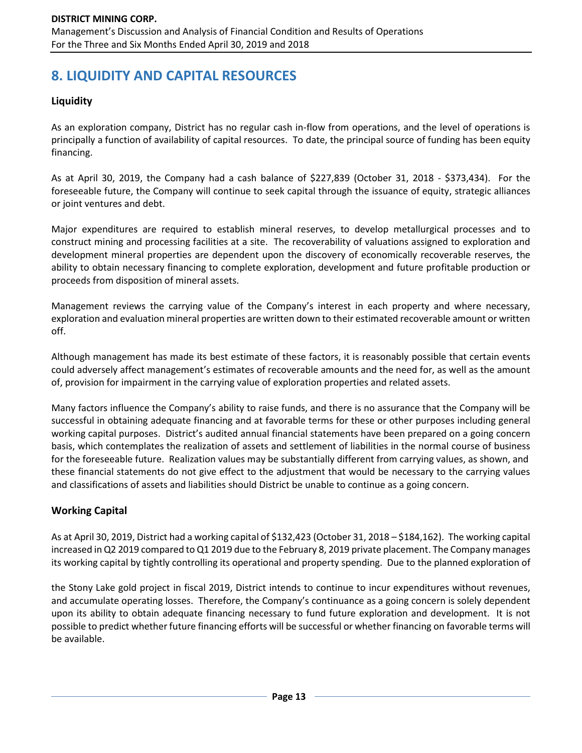# **8. LIQUIDITY AND CAPITAL RESOURCES**

## **Liquidity**

As an exploration company, District has no regular cash in-flow from operations, and the level of operations is principally a function of availability of capital resources. To date, the principal source of funding has been equity financing.

As at April 30, 2019, the Company had a cash balance of \$227,839 (October 31, 2018 - \$373,434). For the foreseeable future, the Company will continue to seek capital through the issuance of equity, strategic alliances or joint ventures and debt.

Major expenditures are required to establish mineral reserves, to develop metallurgical processes and to construct mining and processing facilities at a site. The recoverability of valuations assigned to exploration and development mineral properties are dependent upon the discovery of economically recoverable reserves, the ability to obtain necessary financing to complete exploration, development and future profitable production or proceeds from disposition of mineral assets.

Management reviews the carrying value of the Company's interest in each property and where necessary, exploration and evaluation mineral properties are written down to their estimated recoverable amount or written off.

Although management has made its best estimate of these factors, it is reasonably possible that certain events could adversely affect management's estimates of recoverable amounts and the need for, as well as the amount of, provision for impairment in the carrying value of exploration properties and related assets.

Many factors influence the Company's ability to raise funds, and there is no assurance that the Company will be successful in obtaining adequate financing and at favorable terms for these or other purposes including general working capital purposes. District's audited annual financial statements have been prepared on a going concern basis, which contemplates the realization of assets and settlement of liabilities in the normal course of business for the foreseeable future. Realization values may be substantially different from carrying values, as shown, and these financial statements do not give effect to the adjustment that would be necessary to the carrying values and classifications of assets and liabilities should District be unable to continue as a going concern.

## **Working Capital**

As at April 30, 2019, District had a working capital of \$132,423 (October 31, 2018 – \$184,162). The working capital increased in Q2 2019 compared to Q1 2019 due to the February 8, 2019 private placement. The Company manages its working capital by tightly controlling its operational and property spending. Due to the planned exploration of

the Stony Lake gold project in fiscal 2019, District intends to continue to incur expenditures without revenues, and accumulate operating losses. Therefore, the Company's continuance as a going concern is solely dependent upon its ability to obtain adequate financing necessary to fund future exploration and development. It is not possible to predict whether future financing efforts will be successful or whether financing on favorable terms will be available.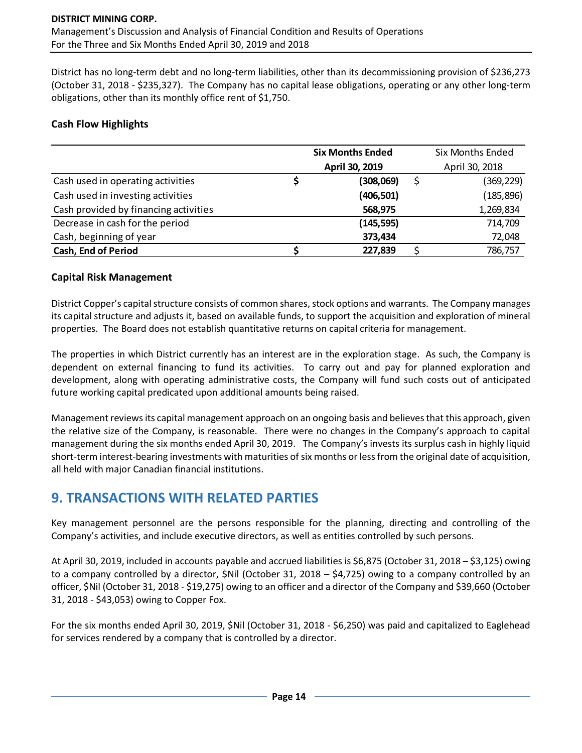District has no long-term debt and no long-term liabilities, other than its decommissioning provision of \$236,273 (October 31, 2018 - \$235,327). The Company has no capital lease obligations, operating or any other long-term obligations, other than its monthly office rent of \$1,750.

### **Cash Flow Highlights**

|                                       | <b>Six Months Ended</b> |                |  | <b>Six Months Ended</b> |
|---------------------------------------|-------------------------|----------------|--|-------------------------|
|                                       |                         | April 30, 2019 |  | April 30, 2018          |
| Cash used in operating activities     |                         | (308,069)      |  | (369, 229)              |
| Cash used in investing activities     |                         | (406, 501)     |  | (185, 896)              |
| Cash provided by financing activities |                         | 568,975        |  | 1,269,834               |
| Decrease in cash for the period       |                         | (145, 595)     |  | 714,709                 |
| Cash, beginning of year               |                         | 373,434        |  | 72,048                  |
| <b>Cash, End of Period</b>            |                         | 227,839        |  | 786,757                 |

### **Capital Risk Management**

District Copper's capital structure consists of common shares, stock options and warrants. The Company manages its capital structure and adjusts it, based on available funds, to support the acquisition and exploration of mineral properties. The Board does not establish quantitative returns on capital criteria for management.

The properties in which District currently has an interest are in the exploration stage. As such, the Company is dependent on external financing to fund its activities. To carry out and pay for planned exploration and development, along with operating administrative costs, the Company will fund such costs out of anticipated future working capital predicated upon additional amounts being raised.

Management reviews its capital management approach on an ongoing basis and believes that this approach, given the relative size of the Company, is reasonable. There were no changes in the Company's approach to capital management during the six months ended April 30, 2019. The Company's invests its surplus cash in highly liquid short-term interest-bearing investments with maturities of six months or less from the original date of acquisition, all held with major Canadian financial institutions.

# **9. TRANSACTIONS WITH RELATED PARTIES**

Key management personnel are the persons responsible for the planning, directing and controlling of the Company's activities, and include executive directors, as well as entities controlled by such persons.

At April 30, 2019, included in accounts payable and accrued liabilities is \$6,875 (October 31, 2018 – \$3,125) owing to a company controlled by a director, \$Nil (October 31, 2018 – \$4,725) owing to a company controlled by an officer, \$Nil (October 31, 2018 - \$19,275) owing to an officer and a director of the Company and \$39,660 (October 31, 2018 - \$43,053) owing to Copper Fox.

For the six months ended April 30, 2019, \$Nil (October 31, 2018 - \$6,250) was paid and capitalized to Eaglehead for services rendered by a company that is controlled by a director.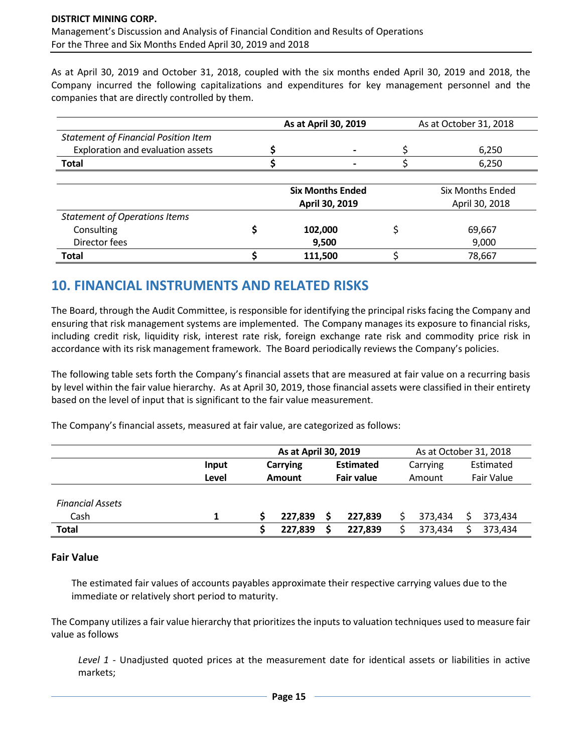As at April 30, 2019 and October 31, 2018, coupled with the six months ended April 30, 2019 and 2018, the Company incurred the following capitalizations and expenditures for key management personnel and the companies that are directly controlled by them.

|                                             | As at April 30, 2019    | As at October 31, 2018 |                         |  |  |
|---------------------------------------------|-------------------------|------------------------|-------------------------|--|--|
| <b>Statement of Financial Position Item</b> |                         |                        |                         |  |  |
| Exploration and evaluation assets           | $\blacksquare$          |                        | 6,250                   |  |  |
| <b>Total</b>                                |                         |                        | 6,250                   |  |  |
|                                             | <b>Six Months Ended</b> |                        | <b>Six Months Ended</b> |  |  |
|                                             | April 30, 2019          |                        | April 30, 2018          |  |  |
| <b>Statement of Operations Items</b>        |                         |                        |                         |  |  |
| Consulting                                  | 102,000                 |                        | 69,667                  |  |  |
| Director fees                               | 9,500                   |                        | 9,000                   |  |  |
| Total                                       | 111,500                 |                        | 78,667                  |  |  |

# **10. FINANCIAL INSTRUMENTS AND RELATED RISKS**

The Board, through the Audit Committee, is responsible for identifying the principal risks facing the Company and ensuring that risk management systems are implemented. The Company manages its exposure to financial risks, including credit risk, liquidity risk, interest rate risk, foreign exchange rate risk and commodity price risk in accordance with its risk management framework. The Board periodically reviews the Company's policies.

The following table sets forth the Company's financial assets that are measured at fair value on a recurring basis by level within the fair value hierarchy. As at April 30, 2019, those financial assets were classified in their entirety based on the level of input that is significant to the fair value measurement.

The Company's financial assets, measured at fair value, are categorized as follows:

|                         |       | As at April 30, 2019 |         |  |                   |        | As at October 31, 2018 |            |         |           |  |
|-------------------------|-------|----------------------|---------|--|-------------------|--------|------------------------|------------|---------|-----------|--|
|                         | Input | <b>Carrying</b>      |         |  | <b>Estimated</b>  |        | Carrying               |            |         | Estimated |  |
|                         | Level | Amount               |         |  | <b>Fair value</b> | Amount |                        | Fair Value |         |           |  |
|                         |       |                      |         |  |                   |        |                        |            |         |           |  |
| <b>Financial Assets</b> |       |                      |         |  |                   |        |                        |            |         |           |  |
| Cash                    |       |                      | 227,839 |  | 227,839           |        | 373,434                |            | 373.434 |           |  |
| <b>Total</b>            |       |                      | 227,839 |  | 227,839           |        | 373,434                |            | 373,434 |           |  |

## **Fair Value**

The estimated fair values of accounts payables approximate their respective carrying values due to the immediate or relatively short period to maturity.

The Company utilizes a fair value hierarchy that prioritizes the inputs to valuation techniques used to measure fair value as follows

*Level 1* - Unadjusted quoted prices at the measurement date for identical assets or liabilities in active markets;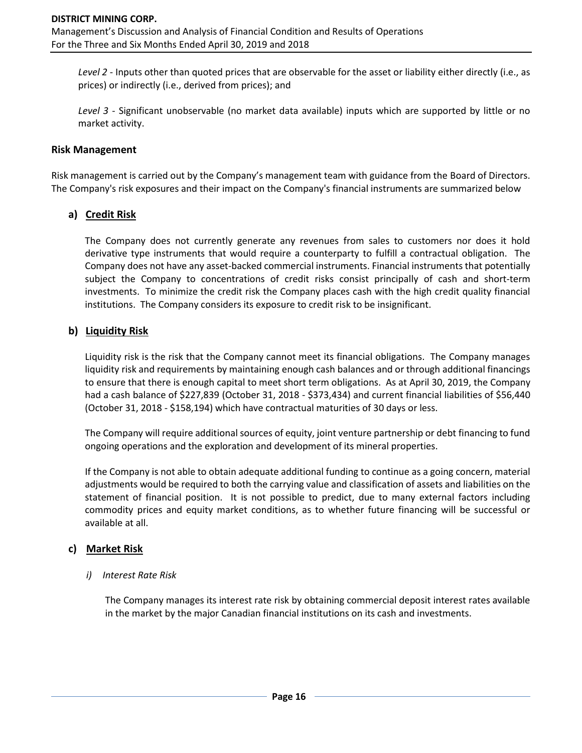*Level 2* - Inputs other than quoted prices that are observable for the asset or liability either directly (i.e., as prices) or indirectly (i.e., derived from prices); and

*Level 3* - Significant unobservable (no market data available) inputs which are supported by little or no market activity.

#### **Risk Management**

Risk management is carried out by the Company's management team with guidance from the Board of Directors. The Company's risk exposures and their impact on the Company's financial instruments are summarized below

### **a) Credit Risk**

The Company does not currently generate any revenues from sales to customers nor does it hold derivative type instruments that would require a counterparty to fulfill a contractual obligation. The Company does not have any asset-backed commercial instruments. Financial instruments that potentially subject the Company to concentrations of credit risks consist principally of cash and short-term investments. To minimize the credit risk the Company places cash with the high credit quality financial institutions. The Company considers its exposure to credit risk to be insignificant.

#### **b) Liquidity Risk**

Liquidity risk is the risk that the Company cannot meet its financial obligations. The Company manages liquidity risk and requirements by maintaining enough cash balances and or through additional financings to ensure that there is enough capital to meet short term obligations. As at April 30, 2019, the Company had a cash balance of \$227,839 (October 31, 2018 - \$373,434) and current financial liabilities of \$56,440 (October 31, 2018 - \$158,194) which have contractual maturities of 30 days or less.

The Company will require additional sources of equity, joint venture partnership or debt financing to fund ongoing operations and the exploration and development of its mineral properties.

If the Company is not able to obtain adequate additional funding to continue as a going concern, material adjustments would be required to both the carrying value and classification of assets and liabilities on the statement of financial position. It is not possible to predict, due to many external factors including commodity prices and equity market conditions, as to whether future financing will be successful or available at all.

### **c) Market Risk**

#### *i) Interest Rate Risk*

The Company manages its interest rate risk by obtaining commercial deposit interest rates available in the market by the major Canadian financial institutions on its cash and investments.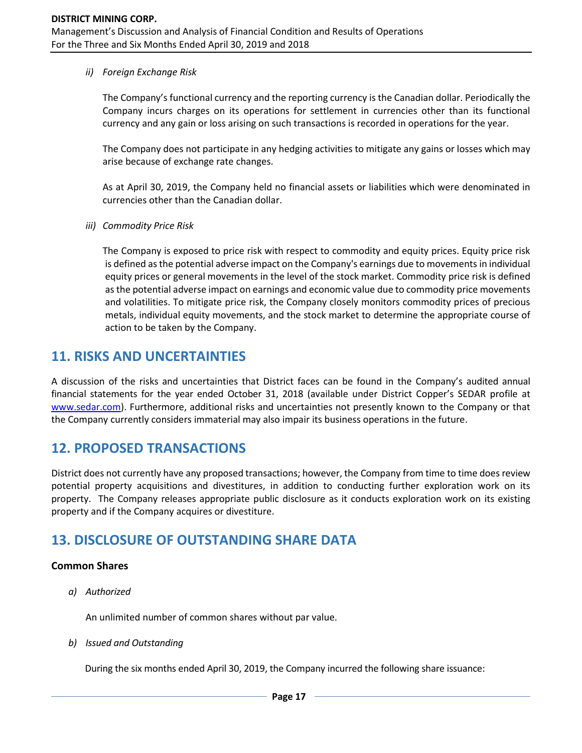#### *ii) Foreign Exchange Risk*

The Company's functional currency and the reporting currency is the Canadian dollar. Periodically the Company incurs charges on its operations for settlement in currencies other than its functional currency and any gain or loss arising on such transactions is recorded in operations for the year.

The Company does not participate in any hedging activities to mitigate any gains or losses which may arise because of exchange rate changes.

As at April 30, 2019, the Company held no financial assets or liabilities which were denominated in currencies other than the Canadian dollar.

*iii) Commodity Price Risk*

The Company is exposed to price risk with respect to commodity and equity prices. Equity price risk is defined as the potential adverse impact on the Company's earnings due to movements in individual equity prices or general movements in the level of the stock market. Commodity price risk is defined as the potential adverse impact on earnings and economic value due to commodity price movements and volatilities. To mitigate price risk, the Company closely monitors commodity prices of precious metals, individual equity movements, and the stock market to determine the appropriate course of action to be taken by the Company.

# **11. RISKS AND UNCERTAINTIES**

A discussion of the risks and uncertainties that District faces can be found in the Company's audited annual financial statements for the year ended October 31, 2018 (available under District Copper's SEDAR profile at [www.sedar.com\)](http://www.sedar.com/). Furthermore, additional risks and uncertainties not presently known to the Company or that the Company currently considers immaterial may also impair its business operations in the future.

# **12. PROPOSED TRANSACTIONS**

District does not currently have any proposed transactions; however, the Company from time to time does review potential property acquisitions and divestitures, in addition to conducting further exploration work on its property. The Company releases appropriate public disclosure as it conducts exploration work on its existing property and if the Company acquires or divestiture.

# **13. DISCLOSURE OF OUTSTANDING SHARE DATA**

### **Common Shares**

*a) Authorized*

An unlimited number of common shares without par value.

*b) Issued and Outstanding*

During the six months ended April 30, 2019, the Company incurred the following share issuance: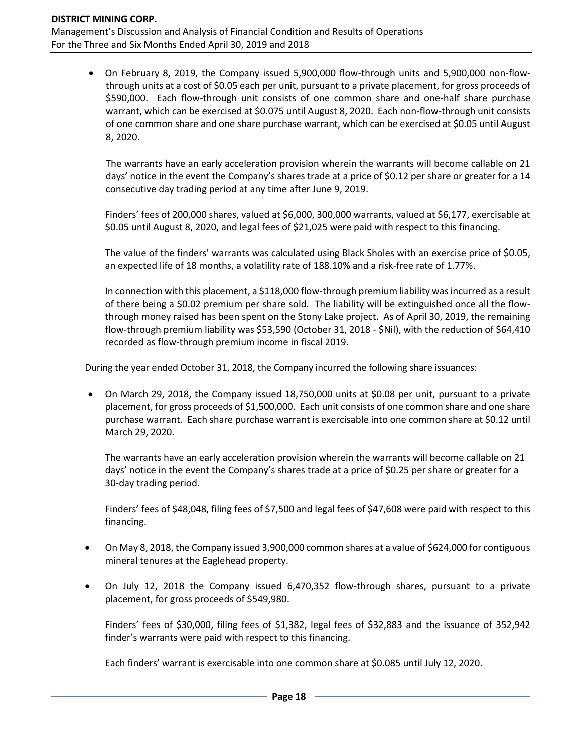• On February 8, 2019, the Company issued 5,900,000 flow-through units and 5,900,000 non-flowthrough units at a cost of \$0.05 each per unit, pursuant to a private placement, for gross proceeds of \$590,000. Each flow-through unit consists of one common share and one-half share purchase warrant, which can be exercised at \$0.075 until August 8, 2020. Each non-flow-through unit consists of one common share and one share purchase warrant, which can be exercised at \$0.05 until August 8, 2020.

The warrants have an early acceleration provision wherein the warrants will become callable on 21 days' notice in the event the Company's shares trade at a price of \$0.12 per share or greater for a 14 consecutive day trading period at any time after June 9, 2019.

Finders' fees of 200,000 shares, valued at \$6,000, 300,000 warrants, valued at \$6,177, exercisable at \$0.05 until August 8, 2020, and legal fees of \$21,025 were paid with respect to this financing.

The value of the finders' warrants was calculated using Black Sholes with an exercise price of \$0.05, an expected life of 18 months, a volatility rate of 188.10% and a risk-free rate of 1.77%.

In connection with this placement, a \$118,000 flow-through premium liability was incurred as a result of there being a \$0.02 premium per share sold. The liability will be extinguished once all the flowthrough money raised has been spent on the Stony Lake project. As of April 30, 2019, the remaining flow-through premium liability was \$53,590 (October 31, 2018 - \$Nil), with the reduction of \$64,410 recorded as flow-through premium income in fiscal 2019.

During the year ended October 31, 2018, the Company incurred the following share issuances:

• On March 29, 2018, the Company issued 18,750,000 units at \$0.08 per unit, pursuant to a private placement, for gross proceeds of \$1,500,000. Each unit consists of one common share and one share purchase warrant. Each share purchase warrant is exercisable into one common share at \$0.12 until March 29, 2020.

The warrants have an early acceleration provision wherein the warrants will become callable on 21 days' notice in the event the Company's shares trade at a price of \$0.25 per share or greater for a 30-day trading period.

Finders' fees of \$48,048, filing fees of \$7,500 and legal fees of \$47,608 were paid with respect to this financing.

- On May 8, 2018, the Company issued 3,900,000 common shares at a value of \$624,000 for contiguous mineral tenures at the Eaglehead property.
- On July 12, 2018 the Company issued 6,470,352 flow-through shares, pursuant to a private placement, for gross proceeds of \$549,980.

Finders' fees of \$30,000, filing fees of \$1,382, legal fees of \$32,883 and the issuance of 352,942 finder's warrants were paid with respect to this financing.

Each finders' warrant is exercisable into one common share at \$0.085 until July 12, 2020.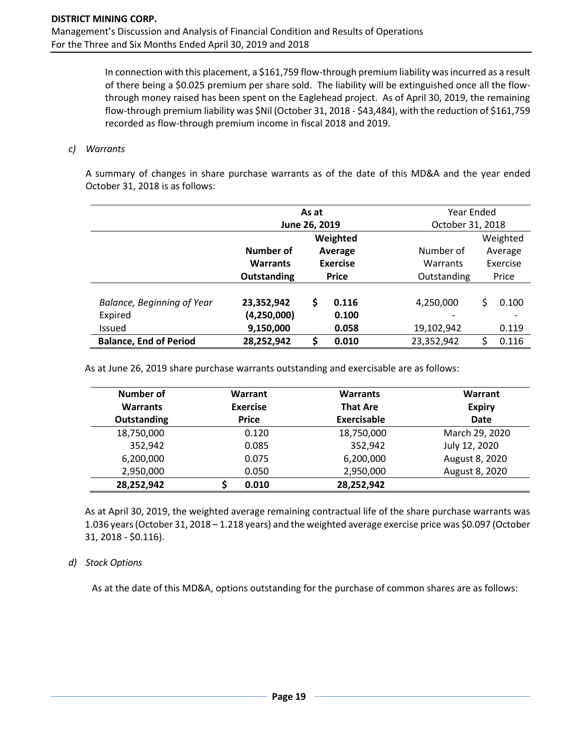In connection with this placement, a \$161,759 flow-through premium liability was incurred as a result of there being a \$0.025 premium per share sold. The liability will be extinguished once all the flowthrough money raised has been spent on the Eaglehead project. As of April 30, 2019, the remaining flow-through premium liability was \$Nil (October 31, 2018 - \$43,484), with the reduction of \$161,759 recorded as flow-through premium income in fiscal 2018 and 2019.

#### *c) Warrants*

A summary of changes in share purchase warrants as of the date of this MD&A and the year ended October 31, 2018 is as follows:

|                                   |                 | As at                |                 | Year Ended  |                  |          |  |
|-----------------------------------|-----------------|----------------------|-----------------|-------------|------------------|----------|--|
|                                   | June 26, 2019   |                      |                 |             | October 31, 2018 |          |  |
|                                   |                 |                      | Weighted        |             |                  | Weighted |  |
|                                   | Number of       | Number of<br>Average |                 |             |                  | Average  |  |
|                                   | <b>Warrants</b> |                      | <b>Exercise</b> | Warrants    |                  | Exercise |  |
|                                   | Outstanding     |                      | <b>Price</b>    | Outstanding |                  | Price    |  |
|                                   |                 |                      |                 |             |                  |          |  |
| <b>Balance, Beginning of Year</b> | 23,352,942      | \$                   | 0.116           | 4,250,000   | Ś                | 0.100    |  |
| Expired                           | (4, 250, 000)   |                      | 0.100           | ۰           |                  |          |  |
| <b>Issued</b>                     | 9,150,000       |                      | 0.058           | 19,102,942  |                  | 0.119    |  |
| <b>Balance, End of Period</b>     | 28,252,942      | \$                   | 0.010           | 23,352,942  |                  | 0.116    |  |

As at June 26, 2019 share purchase warrants outstanding and exercisable are as follows:

| Number of       | Warrant         | <b>Warrants</b>    | Warrant        |
|-----------------|-----------------|--------------------|----------------|
| <b>Warrants</b> | <b>Exercise</b> | <b>That Are</b>    | <b>Expiry</b>  |
| Outstanding     | <b>Price</b>    | <b>Exercisable</b> | <b>Date</b>    |
| 18,750,000      | 0.120           | 18,750,000         | March 29, 2020 |
| 352,942         | 0.085           | 352,942            | July 12, 2020  |
| 6,200,000       | 0.075           | 6,200,000          | August 8, 2020 |
| 2,950,000       | 0.050           | 2,950,000          | August 8, 2020 |
| 28,252,942      | 0.010           | 28,252,942         |                |

As at April 30, 2019, the weighted average remaining contractual life of the share purchase warrants was 1.036 years (October 31, 2018 – 1.218 years) and the weighted average exercise price was \$0.097 (October 31, 2018 - \$0.116).

#### *d) Stock Options*

As at the date of this MD&A, options outstanding for the purchase of common shares are as follows: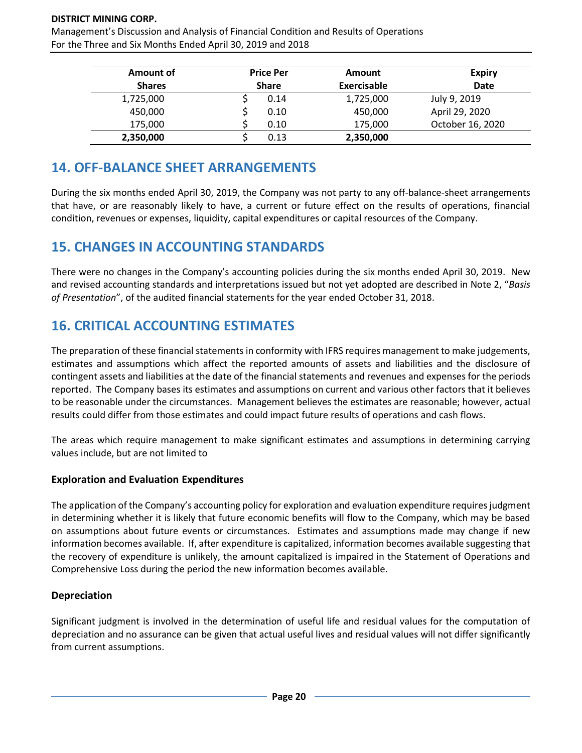#### **DISTRICT MINING CORP.**

Management's Discussion and Analysis of Financial Condition and Results of Operations For the Three and Six Months Ended April 30, 2019 and 2018

| Amount of     | <b>Price Per</b><br><b>Share</b> |      | Amount<br>Exercisable | <b>Expiry</b><br><b>Date</b> |
|---------------|----------------------------------|------|-----------------------|------------------------------|
| <b>Shares</b> |                                  |      |                       |                              |
| 1,725,000     |                                  | 0.14 | 1,725,000             | July 9, 2019                 |
| 450,000       |                                  | 0.10 | 450,000               | April 29, 2020               |
| 175,000       |                                  | 0.10 | 175,000               | October 16, 2020             |
| 2,350,000     |                                  | 0.13 | 2,350,000             |                              |

# **14. OFF-BALANCE SHEET ARRANGEMENTS**

During the six months ended April 30, 2019, the Company was not party to any off-balance-sheet arrangements that have, or are reasonably likely to have, a current or future effect on the results of operations, financial condition, revenues or expenses, liquidity, capital expenditures or capital resources of the Company.

# **15. CHANGES IN ACCOUNTING STANDARDS**

There were no changes in the Company's accounting policies during the six months ended April 30, 2019. New and revised accounting standards and interpretations issued but not yet adopted are described in Note 2, "*Basis of Presentation*", of the audited financial statements for the year ended October 31, 2018.

# **16. CRITICAL ACCOUNTING ESTIMATES**

The preparation of these financial statements in conformity with IFRS requires management to make judgements, estimates and assumptions which affect the reported amounts of assets and liabilities and the disclosure of contingent assets and liabilities at the date of the financial statements and revenues and expenses for the periods reported. The Company bases its estimates and assumptions on current and various other factors that it believes to be reasonable under the circumstances. Management believes the estimates are reasonable; however, actual results could differ from those estimates and could impact future results of operations and cash flows.

The areas which require management to make significant estimates and assumptions in determining carrying values include, but are not limited to

### **Exploration and Evaluation Expenditures**

The application of the Company's accounting policy for exploration and evaluation expenditure requires judgment in determining whether it is likely that future economic benefits will flow to the Company, which may be based on assumptions about future events or circumstances. Estimates and assumptions made may change if new information becomes available. If, after expenditure is capitalized, information becomes available suggesting that the recovery of expenditure is unlikely, the amount capitalized is impaired in the Statement of Operations and Comprehensive Loss during the period the new information becomes available.

### **Depreciation**

Significant judgment is involved in the determination of useful life and residual values for the computation of depreciation and no assurance can be given that actual useful lives and residual values will not differ significantly from current assumptions.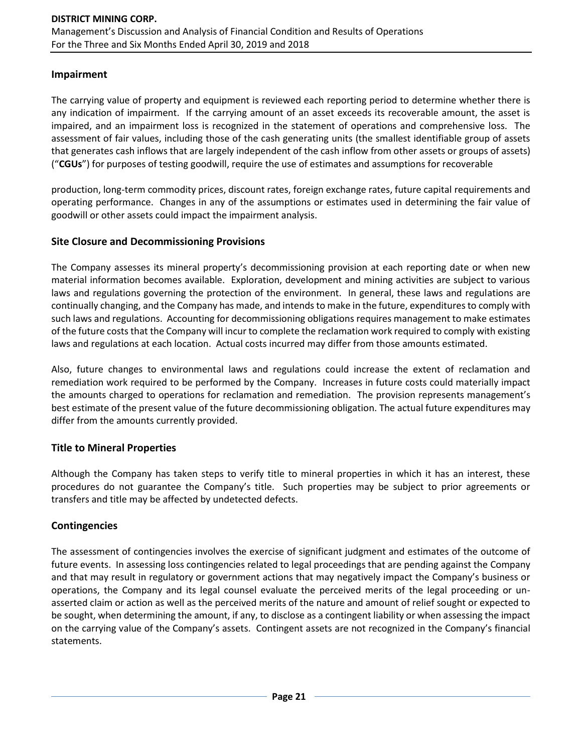### **Impairment**

The carrying value of property and equipment is reviewed each reporting period to determine whether there is any indication of impairment. If the carrying amount of an asset exceeds its recoverable amount, the asset is impaired, and an impairment loss is recognized in the statement of operations and comprehensive loss. The assessment of fair values, including those of the cash generating units (the smallest identifiable group of assets that generates cash inflows that are largely independent of the cash inflow from other assets or groups of assets) ("**CGUs**") for purposes of testing goodwill, require the use of estimates and assumptions for recoverable

production, long-term commodity prices, discount rates, foreign exchange rates, future capital requirements and operating performance. Changes in any of the assumptions or estimates used in determining the fair value of goodwill or other assets could impact the impairment analysis.

### **Site Closure and Decommissioning Provisions**

The Company assesses its mineral property's decommissioning provision at each reporting date or when new material information becomes available. Exploration, development and mining activities are subject to various laws and regulations governing the protection of the environment. In general, these laws and regulations are continually changing, and the Company has made, and intends to make in the future, expenditures to comply with such laws and regulations. Accounting for decommissioning obligations requires management to make estimates of the future costs that the Company will incur to complete the reclamation work required to comply with existing laws and regulations at each location. Actual costs incurred may differ from those amounts estimated.

Also, future changes to environmental laws and regulations could increase the extent of reclamation and remediation work required to be performed by the Company. Increases in future costs could materially impact the amounts charged to operations for reclamation and remediation. The provision represents management's best estimate of the present value of the future decommissioning obligation. The actual future expenditures may differ from the amounts currently provided.

## **Title to Mineral Properties**

Although the Company has taken steps to verify title to mineral properties in which it has an interest, these procedures do not guarantee the Company's title. Such properties may be subject to prior agreements or transfers and title may be affected by undetected defects.

## **Contingencies**

The assessment of contingencies involves the exercise of significant judgment and estimates of the outcome of future events. In assessing loss contingencies related to legal proceedings that are pending against the Company and that may result in regulatory or government actions that may negatively impact the Company's business or operations, the Company and its legal counsel evaluate the perceived merits of the legal proceeding or unasserted claim or action as well as the perceived merits of the nature and amount of relief sought or expected to be sought, when determining the amount, if any, to disclose as a contingent liability or when assessing the impact on the carrying value of the Company's assets. Contingent assets are not recognized in the Company's financial statements.